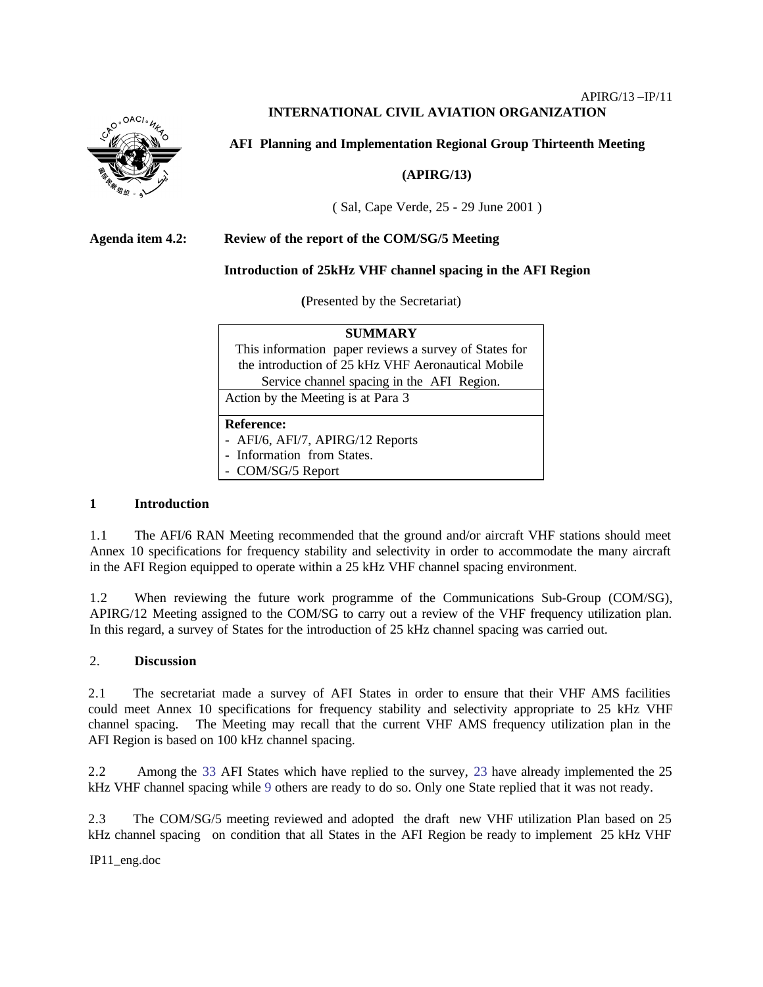# **INTERNATIONAL CIVIL AVIATION ORGANIZATION**



**AFI Planning and Implementation Regional Group Thirteenth Meeting** 

### **(APIRG/13)**

( Sal, Cape Verde, 25 - 29 June 2001 )

### **Agenda item 4.2: Review of the report of the COM/SG/5 Meeting**

### **Introduction of 25kHz VHF channel spacing in the AFI Region**

**(**Presented by the Secretariat)

| <b>SUMMARY</b>                                        |  |  |  |
|-------------------------------------------------------|--|--|--|
| This information paper reviews a survey of States for |  |  |  |
| the introduction of 25 kHz VHF Aeronautical Mobile    |  |  |  |
| Service channel spacing in the AFI Region.            |  |  |  |
| Action by the Meeting is at Para 3                    |  |  |  |
|                                                       |  |  |  |
| <b>Reference:</b>                                     |  |  |  |
| - AFI/6, AFI/7, APIRG/12 Reports                      |  |  |  |
| - Information from States.                            |  |  |  |
| - COM/SG/5 Report                                     |  |  |  |

#### **1 Introduction**

1.1 The AFI/6 RAN Meeting recommended that the ground and/or aircraft VHF stations should meet Annex 10 specifications for frequency stability and selectivity in order to accommodate the many aircraft in the AFI Region equipped to operate within a 25 kHz VHF channel spacing environment.

1.2 When reviewing the future work programme of the Communications Sub-Group (COM/SG), APIRG/12 Meeting assigned to the COM/SG to carry out a review of the VHF frequency utilization plan. In this regard, a survey of States for the introduction of 25 kHz channel spacing was carried out.

## 2. **Discussion**

2.1 The secretariat made a survey of AFI States in order to ensure that their VHF AMS facilities could meet Annex 10 specifications for frequency stability and selectivity appropriate to 25 kHz VHF channel spacing. The Meeting may recall that the current VHF AMS frequency utilization plan in the AFI Region is based on 100 kHz channel spacing.

2.2 Among the 33 AFI States which have replied to the survey, 23 have already implemented the 25 kHz VHF channel spacing while 9 others are ready to do so. Only one State replied that it was not ready.

2.3 The COM/SG/5 meeting reviewed and adopted the draft new VHF utilization Plan based on 25 kHz channel spacing on condition that all States in the AFI Region be ready to implement 25 kHz VHF

IP11\_eng.doc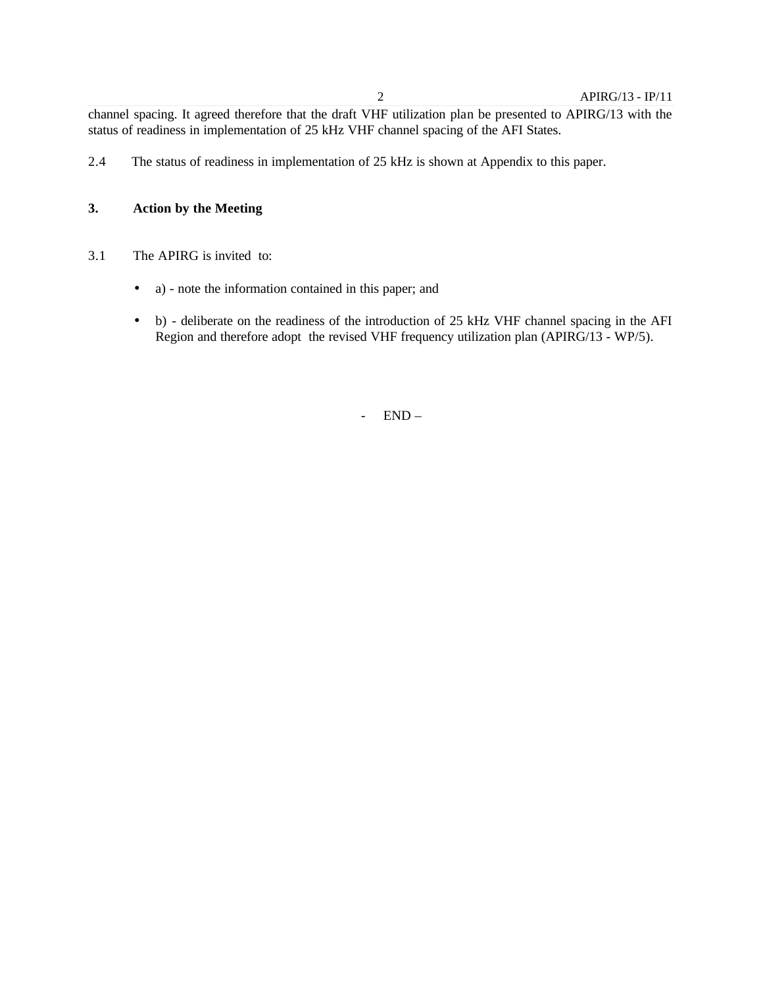channel spacing. It agreed therefore that the draft VHF utilization plan be presented to APIRG/13 with the status of readiness in implementation of 25 kHz VHF channel spacing of the AFI States.

2.4 The status of readiness in implementation of 25 kHz is shown at Appendix to this paper.

# **3. Action by the Meeting**

- 3.1 The APIRG is invited to:
	- a) note the information contained in this paper; and
	- b) deliberate on the readiness of the introduction of 25 kHz VHF channel spacing in the AFI Region and therefore adopt the revised VHF frequency utilization plan (APIRG/13 - WP/5).

- END –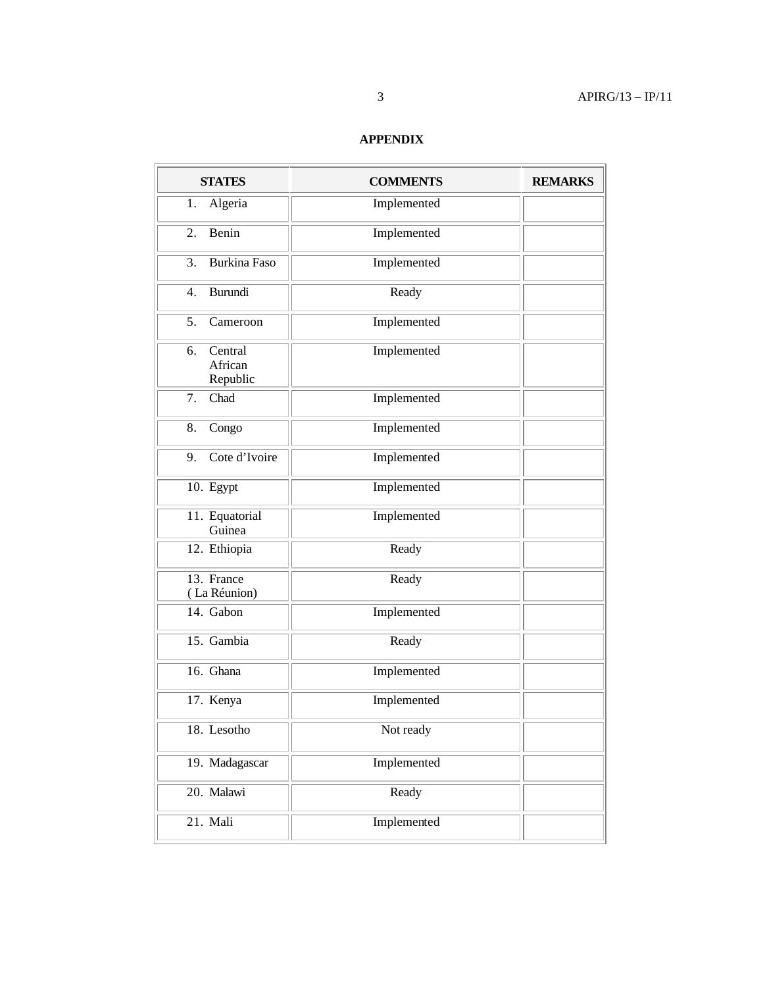# **APPENDIX**

| <b>STATES</b>                        | <b>COMMENTS</b> | <b>REMARKS</b> |
|--------------------------------------|-----------------|----------------|
| Algeria<br>1.                        | Implemented     |                |
| Benin<br>2.                          | Implemented     |                |
| <b>Burkina Faso</b><br>3.            | Implemented     |                |
| Burundi<br>4.                        | Ready           |                |
| 5.<br>Cameroon                       | Implemented     |                |
| Central<br>6.<br>African<br>Republic | Implemented     |                |
| Chad<br>7.                           | Implemented     |                |
| 8.<br>Congo                          | Implemented     |                |
| Cote d'Ivoire<br>9.                  | Implemented     |                |
| 10. Egypt                            | Implemented     |                |
| 11. Equatorial<br>Guinea             | Implemented     |                |
| 12. Ethiopia                         | Ready           |                |
| 13. France<br>(La Réunion)           | Ready           |                |
| 14. Gabon                            | Implemented     |                |
| 15. Gambia                           | Ready           |                |
| 16. Ghana                            | Implemented     |                |
| 17. Kenya                            | Implemented     |                |
| 18. Lesotho                          | Not ready       |                |
| 19. Madagascar                       | Implemented     |                |
| 20. Malawi                           | Ready           |                |
| 21. Mali                             | Implemented     |                |